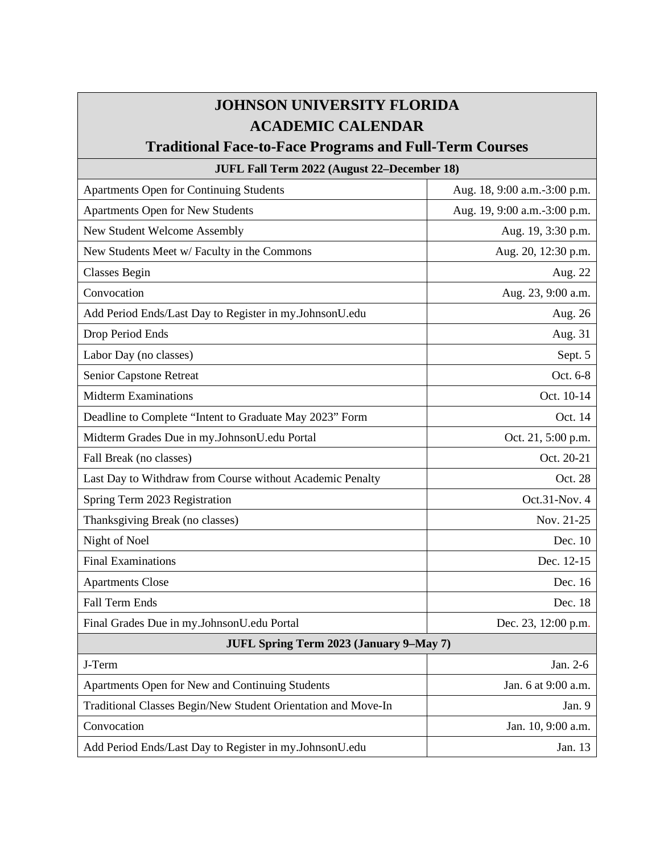## **JOHNSON UNIVERSITY FLORIDA ACADEMIC CALENDAR**

## **Traditional Face-to-Face Programs and Full-Term Courses**

## **JUFL Fall Term 2022 (August 22–December 18)** Apartments Open for Continuing Students Aug. 18, 9:00 a.m.-3:00 p.m. Apartments Open for New Students Aug. 19, 9:00 a.m.-3:00 p.m. New Student Welcome Assembly  $\qquad$  Aug. 19, 3:30 p.m. New Students Meet w/ Faculty in the Commons Aug. 20, 12:30 p.m. Classes Begin Aug. 22 Convocation Aug. 23, 9:00 a.m. Add Period Ends/Last Day to Register in my.JohnsonU.edu Aug. 26 Drop Period Ends Aug. 31 Labor Day (no classes) Sept. 5 Senior Capstone Retreat **Oct.** 6-8 Midterm Examinations **Oct.** 10-14 Deadline to Complete "Intent to Graduate May 2023" Form Oct. 14 Midterm Grades Due in my.JohnsonU.edu Portal **Community** Cost. 21, 5:00 p.m. Fall Break (no classes) Contract the Contract of the Contract of the Contract of the Contract of the Contract of the Contract of the Contract of the Contract of the Contract of the Contract of the Contract of the Contract Last Day to Withdraw from Course without Academic Penalty Oct. 28 Spring Term 2023 Registration Cot.31-Nov. 4 Thanksgiving Break (no classes) Nov. 21-25 Night of Noel Dec. 10 Final Examinations Dec. 12-15 Apartments Close Dec. 16 Fall Term Ends Dec. 18 Final Grades Due in my.JohnsonU.edu Portal Dec. 23, 12:00 p.m. **JUFL Spring Term 2023 (January 9–May 7)** J-Term Jan. 2-6 Apartments Open for New and Continuing Students **For Apartments Open for New and Continuing Students** Jan. 6 at 9:00 a.m. Traditional Classes Begin/New Student Orientation and Move-In Jan. 9 Convocation Jan. 10, 9:00 a.m.

Add Period Ends/Last Day to Register in my.JohnsonU.edu Jan. 13